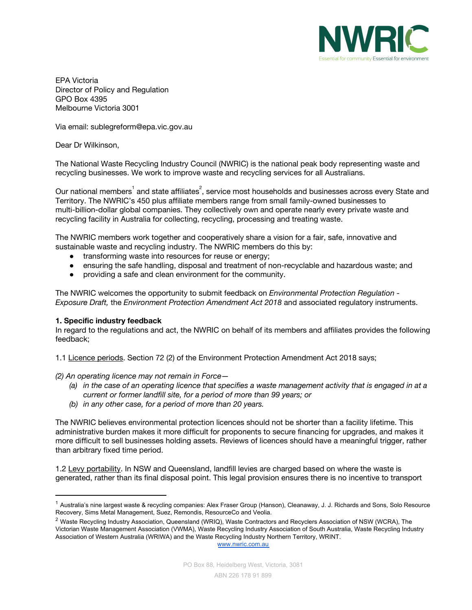

EPA Victoria Director of Policy and Regulation GPO Box 4395 Melbourne Victoria 3001

Via email: sublegreform@epa.vic.gov.au

Dear Dr Wilkinson,

The National Waste Recycling Industry Council (NWRIC) is the national peak body representing waste and recycling businesses. We work to improve waste and recycling services for all Australians.

Our national members $^{\rm 1}$  and state affiliates $^{\rm 2}$ , service most households and businesses across every State and Territory. The NWRIC's 450 plus affiliate members range from small family-owned businesses to multi-billion-dollar global companies. They collectively own and operate nearly every private waste and recycling facility in Australia for collecting, recycling, processing and treating waste.

The NWRIC members work together and cooperatively share a vision for a fair, safe, innovative and sustainable waste and recycling industry. The NWRIC members do this by:

- **●** transforming waste into resources for reuse or energy;
- **●** ensuring the safe handling, disposal and treatment of non-recyclable and hazardous waste; and
- **●** providing a safe and clean environment for the community.

The NWRIC welcomes the opportunity to submit feedback on *Environmental Protection Regulation - Exposure Draft,* the *Environment Protection Amendment Act 2018* and associated regulatory instruments.

## **1. Specific industry feedback**

In regard to the regulations and act, the NWRIC on behalf of its members and affiliates provides the following feedback;

1.1 Licence periods. Section 72 (2) of the Environment Protection Amendment Act 2018 says;

*(2) An operating licence may not remain in Force—*

- (a) in the case of an operating licence that specifies a waste management activity that is engaged in at a *current or former landfill site, for a period of more than 99 years; or*
- *(b) in any other case, for a period of more than 20 years.*

The NWRIC believes environmental protection licences should not be shorter than a facility lifetime. This administrative burden makes it more difficult for proponents to secure financing for upgrades, and makes it more difficult to sell businesses holding assets. Reviews of licences should have a meaningful trigger, rather than arbitrary fixed time period.

1.2 Levy portability. In NSW and Queensland, landfill levies are charged based on where the waste is generated, rather than its final disposal point. This legal provision ensures there is no incentive to transport

[www.nwric.com.au](http://www.nwric.com.au/)

<sup>&</sup>lt;sup>1</sup> Australia's nine largest waste & recycling companies: Alex Fraser Group (Hanson), Cleanaway, J. J. Richards and Sons, Solo Resource Recovery, Sims Metal Management, Suez, Remondis, ResourceCo and Veolia.

<sup>&</sup>lt;sup>2</sup> Waste Recycling Industry Association, Queensland (WRIQ), Waste Contractors and Recyclers Association of NSW (WCRA), The Victorian Waste Management Association (VWMA), Waste Recycling Industry Association of South Australia, Waste Recycling Industry Association of Western Australia (WRIWA) and the Waste Recycling Industry Northern Territory, WRINT.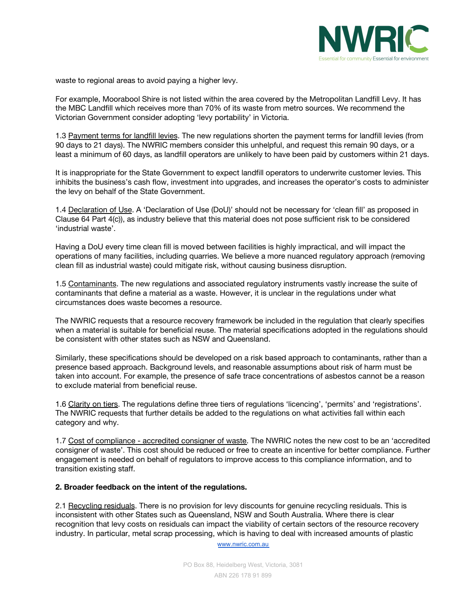

waste to regional areas to avoid paying a higher levy.

For example, Moorabool Shire is not listed within the area covered by the Metropolitan Landfill Levy. It has the MBC Landfill which receives more than 70% of its waste from metro sources. We recommend the Victorian Government consider adopting 'levy portability' in Victoria.

1.3 Payment terms for landfill levies. The new regulations shorten the payment terms for landfill levies (from 90 days to 21 days). The NWRIC members consider this unhelpful, and request this remain 90 days, or a least a minimum of 60 days, as landfill operators are unlikely to have been paid by customers within 21 days.

It is inappropriate for the State Government to expect landfill operators to underwrite customer levies. This inhibits the business's cash flow, investment into upgrades, and increases the operator's costs to administer the levy on behalf of the State Government.

1.4 Declaration of Use. A 'Declaration of Use (DoU)' should not be necessary for 'clean fill' as proposed in Clause 64 Part 4(c)), as industry believe that this material does not pose sufficient risk to be considered 'industrial waste'.

Having a DoU every time clean fill is moved between facilities is highly impractical, and will impact the operations of many facilities, including quarries. We believe a more nuanced regulatory approach (removing clean fill as industrial waste) could mitigate risk, without causing business disruption.

1.5 Contaminants. The new regulations and associated regulatory instruments vastly increase the suite of contaminants that define a material as a waste. However, it is unclear in the regulations under what circumstances does waste becomes a resource.

The NWRIC requests that a resource recovery framework be included in the regulation that clearly specifies when a material is suitable for beneficial reuse. The material specifications adopted in the regulations should be consistent with other states such as NSW and Queensland.

Similarly, these specifications should be developed on a risk based approach to contaminants, rather than a presence based approach. Background levels, and reasonable assumptions about risk of harm must be taken into account. For example, the presence of safe trace concentrations of asbestos cannot be a reason to exclude material from beneficial reuse.

1.6 Clarity on tiers. The regulations define three tiers of regulations 'licencing', 'permits' and 'registrations'. The NWRIC requests that further details be added to the regulations on what activities fall within each category and why.

1.7 Cost of compliance - accredited consigner of waste. The NWRIC notes the new cost to be an 'accredited consigner of waste'. This cost should be reduced or free to create an incentive for better compliance. Further engagement is needed on behalf of regulators to improve access to this compliance information, and to transition existing staff.

## **2. Broader feedback on the intent of the regulations.**

2.1 Recycling residuals. There is no provision for levy discounts for genuine recycling residuals. This is inconsistent with other States such as Queensland, NSW and South Australia. Where there is clear recognition that levy costs on residuals can impact the viability of certain sectors of the resource recovery industry. In particular, metal scrap processing, which is having to deal with increased amounts of plastic

[www.nwric.com.au](http://www.nwric.com.au/)